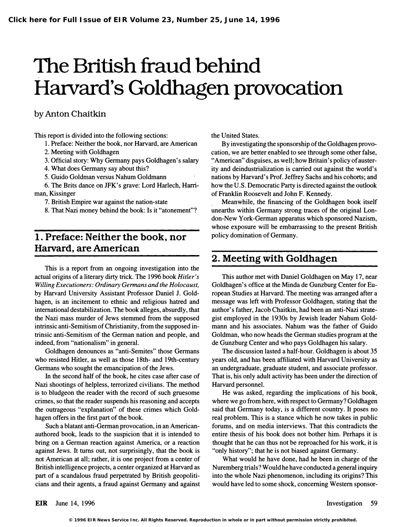# The British fraud behind Harvard's Goldhagen provocation

## by Anton Chaitkin

This report is divided into the following sections:

- 1. Preface: Neither the book, nor Harvard, are American
- 2. Meeting with Goldhagen
- 3. Official story: Why Germany pays Goldhagen's salary
- 4. What does Germany say about this?
- 5. Guido Goldman versus Nahum Goldmann

6. The Brits dance on JFK's grave: Lord Harlech, Harriman, Kissinger

7. British Empire war against the nation-state

8. That Nazi money behind the book: Is it "atonement"?

# 1. Preface: Neither the book, nor Harvard, are American

This is a report from an ongoing investigation into the actual origins of a literary dirty trick. The 1996 book Hitler's Willing Executioners: Ordinary Germans and the Holocaust, by Harvard University Assistant Professor Daniel 1. Goldhagen, is an incitement to ethnic and religious hatred and international destabilization. The book alleges, absurdly, that the Nazi mass murder of Jews stemmed from the supposed intrinsic anti-Semitism of Christianity, from the supposed intrinsic anti-Semitism of the German nation and people, and indeed, from "nationalism" in general.

Goldhagen denounces as "anti-Semites" those Germans who resisted Hitler, as well as those 18th- and 19th-century Germans who sought the emancipation of the Jews.

In the second half of the book, he cites case after case of Nazi shootings of helpless, terrorized civilians. The method is to bludgeon the reader with the record of such gruesome crimes, so that the reader suspends his reasoning and accepts the outrageous "explanation" of these crimes which Goldhagen offers in the first part of the book.

Such a blatant anti-German provocation, in an Americanauthored book, leads to the suspicion that it is intended to bring on a German reaction against America, or a reaction against Jews. It turns out, not surprisingly, that the book is not American at all; rather, it is one project from a center of British intelligence projects, a center organized at Harvard as part of a scandalous fraud perpetrated by British geopoliticians and their agents, a fraud against Germany and against the United States.

By investigating the sponsorship of the Goldhagen provocation, we are better enabled to see through some other false, "American" disguises, as well; how Britain's policy of austerity and deindustrialization is carried out against the world's nations by Harvard's Prof. Jeffrey Sachs and his cohorts; and how the U.S. Democratic Party is directed against the outlook of Franklin Roosevelt and John F. Kennedy.

Meanwhile, the financing of the Goldhagen book itself unearths within Germany strong traces of the original London-New York-German apparatus which sponsored Nazism, whose exposure will be embarrassing to the present British policy domination of Germany.

## 2. Meeting with Goldhagen

This author met with Daniel Goldhagen on May 17, near Goldhagen's office at the Minda de Gunzburg Center for European Studies at Harvard. The meeting was arranged after a message was left with Professor Goldhagen, stating that the author's father, Jacob Chaitkin, had been an anti-Nazi strategist employed in the 1930s by Jewish leader Nahum Goldmann and his associates. Nahum was the father of Guido Goldman, who now heads the German studies program at the de Gunzburg Center and who pays Goldhagen his salary.

The discussion lasted a half-hour. Goldhagen is about 35 years old, and has been affiliated with Harvard University as an undergraduate, graduate student, and associate professor. That is, his only adult activity has been under the direction of Harvard personnel.

He was asked, regarding the implications of his book, where we go from here, with respect to Germany? Goldhagen said that Germany today, is a different country. It poses no real problem. This is a stance which he now takes in public forums, and on media interviews. That this contradicts the entire thesis of his book does not bother him. Perhaps it is thought that he can thus not be reproached for his work, it is "only history"; that he is not biased against Germany.

What would he have done, had he been in charge of the Nuremberg trials? Would he have conducted a general inquiry into the whole Nazi phenomenon, including its origins? This would have led to some shock, concerning Western sponsor-

EIR June 14, 1996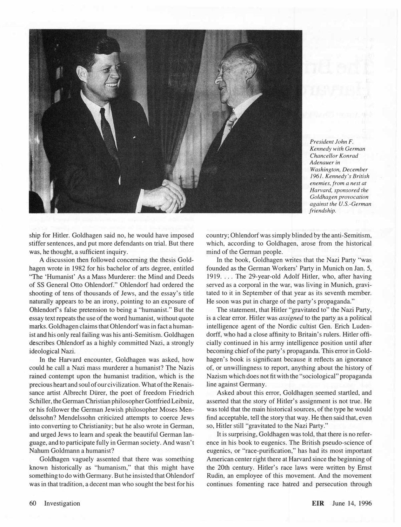

President John F. Kennedy with German Chancellor Konrad Adenauer in Washington, December 1961. Kennedy's British enemies, from a nest at Harvard, sponsored the Goldhagen provocation against the U.S.-German friendship.

ship for Hitler. Goldhagen said no, he would have imposed stiffer sentences, and put more defendants on trial. But there was, he thought, a sufficient inquiry.

A discussion then followed concerning the thesis Goldhagen wrote in 1982 for his bachelor of arts degree, entitled "The 'Humanist' As a Mass Murderer: the Mind and Deeds of SS General Otto Ohlendorf." Ohlendorf had ordered the shooting of tens of thousands of Jews, and the essay's title naturally appears to be an irony, pointing to an exposure of Ohlendorf's false pretension to being a "humanist." But the essay text repeats the use of the word humanist, without quote marks. Goldhagen claims that Ohlendorf was in fact a humanist and his only real failing was his anti-Semitism. Goldhagen describes Ohlendorf as a highly committed Nazi, a strongly ideological Nazi.

In the Harvard encounter, Goldhagen was asked, how could he call a Nazi mass murderer a humanist? The Nazis rained contempt upon the humanist tradition, which is the precious heart and soul of our civilization. What of the Renaissance artist Albrecht Dürer, the poet of freedom Friedrich Schiller, the German Christian philosopher Gottfried Leibniz, or his follower the German Jewish philosopher Moses Mendelssohn? Mendelssohn criticized attempts to coerce Jews into converting to Christianity; but he also wrote in German, and urged Jews to learn and speak the beautiful German language, and to participate fully in German society. And wasn't Nahum Goldmann a humanist?

Goldhagen vaguely assented that there was something known historically as "humanism," that this might have something to do with Germany. But he insisted that Ohlendorf was in that tradition, a decent man who sought the best for his

country; Ohlendorf was simply blinded by the anti-Semitism, which, according to Goldhagen, arose from the historical mind of the German people.

In the book, Goldhagen writes that the Nazi Party "was founded as the German Workers' Party in Munich on Jan. 5, 1919. . . . The 29-year-old Adolf Hitler, who, after having served as a corporal in the war, was living in Munich, gravitated to it in September of that year as its seventh member. He soon was put in charge of the party's propaganda."

The statement, that Hitler "gravitated to" the Nazi Party, is a clear error. Hitler was assigned to the party as a political intelligence agent of the Nordic cultist Gen. Erich Ludendorff, who had a close affinity to Britain's rulers. Hitler officially continued in his army intelligence position until after becoming chief of the party's propaganda. This error in Goldhagen's book is significant because it reflects an ignorance of, or unwillingness to report, anything about the history of Nazism which does not fit with the "sociological" propaganda line against Germany.

Asked about this error, Goldhagen seemed startled, and asserted that the story of Hitler's assignment is not true. He was told that the main historical sources, of the type he would find acceptable, tell the story that way. He then said that, even so, Hitler still "gravitated to the Nazi Party."

It is surprising, Goldhagen was told, that there is no reference in his book to eugenics. The British pseudo-science of eugenics, or "race-purification," has had its most important American center right there at Harvard since the beginning of the 20th century. Hitler's race laws were written by Ernst Rudin, an employee of this movement. And the movement continues fomenting race hatred and persecution through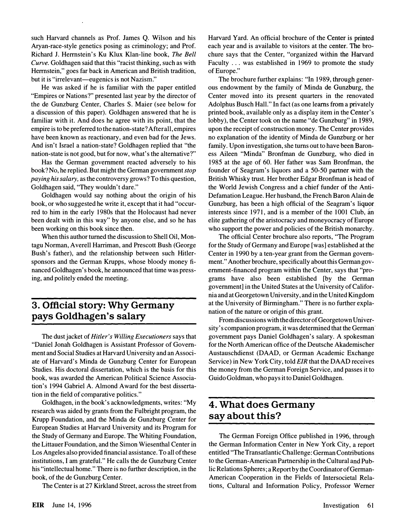such Harvard channels as Prof. James Q. Wilson and his Aryan-race-style genetics posing as criminology; and Prof. Richard J. Herrnstein's Ku Klux Klan-line book, The Bell Curve. Goldhagen said that this "racist thinking, such as with Herrnstein," goes far back in American and British tradition, but it is "irrelevant—eugenics is not Nazism."

He was asked if he is familiar with the paper entitled "Empires or Nations?" presented last year by the director of the de Gunzburg Center, Charles S. Maier (see below for a discussion of this paper). Goldhagen answered that he is familiar with it. And does he agree with its point, that the empire is to be preferred to the nation-state? After all, empires have been known as reactionary, and even bad for the Jews. And isn't Israel a nation-state? Goldhagen replied that "the nation-state is not good, but for now, what's the alternative?"

Has the German government reacted adversely to his book? No, he replied. But might the German government stop paying his salary, as the controversy grows? To this question, Goldhagen said, "They wouldn't dare."

Goldhagen would say nothing about the origin of his book, or who suggested he write it, except that it had "occurred to him in the early 1980s that the Holocaust had never been dealt with in this way" by anyone else, and so he has been working on this book since then.

When this author turned the discussion to Shell Oil, Montagu Norman, Averell Harriman, and Prescott Bush (George Bush's father), and the relationship between such Hitlersponsors and the German Krupps, whose bloody money financed Goldhagen's book, he announced that time was pressing, and politely ended the meeting.

# 3. Official story: Why Germany pays Goldhagen's salary

The dust jacket of Hitler's Willing Executioners says that "Daniel Jonah Goldhagen is Assistant Professor of Government and Social Studies at Harvard University and an Associate of Harvard's Minda de Gunzburg Center for European Studies. His doctoral dissertation, which is the basis for this book, was awarded the American Political Science Association's 1994 Gabriel A. Almond Award for the best dissertation in the field of comparative politics. "

Goldhagen, in the book's acknowledgments, writes: "My research was aided by grants from the Fulbright program, the Krupp Foundation, and the Minda de Gunzburg Center for European Studies at Harvard University and its Program for the Study of Germany and Europe. The Whiting Foundation, the Littauer Foundation, and the Simon Wiesentha1 Center in Los Angeles also provided financial assistance. To all of these institutions, I am grateful." He calls the de Gunzburg Center his "intellectual home." There is no further description, in the book, of the de Gunzburg Center.

The Center is at 27 Kirkland Street, across the street from

Harvard Yard. An official brochure of the Center is printed each year and is available to visitors at the center. The brochure says that the Center, "organized within the Harvard Faculty ... was established in 1969 to promote the study of Europe."

The brochure further explains: "In 1989, through generous endowment by the family of Minda de Gunzburg, the Center moved into its present quarters in the renovated Adolphus Busch Hall." In fact (as one learns from a privately printed book, available only as a display item in the Center's lobby), the Center took on the name "de Gunzburg" in 1989, upon the receipt of construction money. The Center provides no explanation of the identity of Minda de Gunzburg or her family. Upon investigation, she turns out to have been Baroness Aileen "Minda" Bronfman de Gunzburg, who died in 1985 at the age of 60. Her father was Sam Bronfman, the founder of Seagram's liquors and a 50-50 partner with the British Whisky trust. Her brother Edgar Bronfman is head of the World Jewish Congress and a chief funder of the Anti-Defamation League. Her husband, the French Baron Alain de Gunzburg, has been a high official of the Seagram's liquor interests since 1971, and is a member of the 1001 Club, an elite gathering of the aristocracy and moneyocracy of Europe who support the power and policies of the British monarchy.

The official Center brochure also reports, "The Program for the Study of Germany and Europe [was] established at the Center in 1990 by a ten-year grant from the German government." Another brochure, specifically about this German government-financed program within the Center, says that "programs have also been established [by the German government] in the United States at the University of California and at Georgetown University, and in the United Kingdom at the University of Birmingham. " There is no further explanation of the nature or origin of this grant.

From discussions with the director of Georgetown University's companion program, it was determined that the German government pays Daniel Goldhagen's salary. A spokesman for the North American office of the Deutsche Akademischer Austauschdienst (DAAD, or German Academic Exchange Service) in New York City, told EIR that the DAAD receives the money from the German Foreign Service, and passes it to Guido Goldman, who pays it to Daniel Goldhagen.

# 4. What does Germany say about this?

The German Foreign Office published in 1996, through the German Information Center in New York City, a report entitled "The Transatlantic Challenge: German Contributions to the German-American Partnership in the Cultural and Public Relations Spheres; a Report by the Coordinator of German-American Cooperation in the Fields of Intersocietal Relations, Cultural and Information Policy, Professor Werner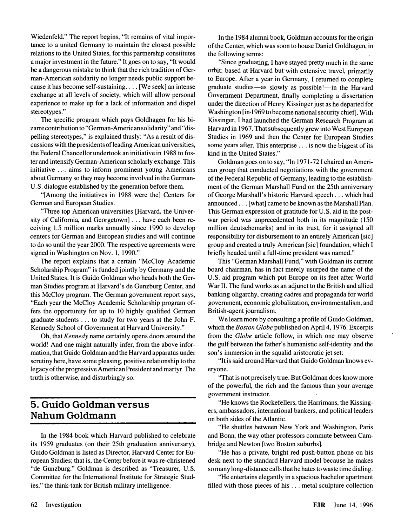Wiedenfeld." The report begins, "It remains of vital importance to a united Germany to maintain the closest possible relations to the United States, for this partnership' constitutes a major investment in the future." It goes on to say, "It would be a dangerous mistake to think that the rich tradition of German-American solidarity no longer needs public support because it has become self-sustaining .... [We seek] an intense exchange at all levels of society, which will allow personal experience to make up for a lack of information and dispel stereotypes."

The specific program which pays Goldhagen for his bizarre contribution to "German-American solidarity " and "dispelling stereotypes," is explained thusly: "As a result of discussions with the presidents of leading American universities, the Federal Chancellor undertook an initiative in 1988 to foster and intensify German-American scholarly exchange. This initiative ... aims to inform prominent young Americans about Germany so they may become involved in the German-U.S. dialogue established by the generation before them.

"[Among the initiatives in 1988 were the] Centers for German and European Studies.

"Three top American universities [Harvard, the University of California, and Georgetown] ... have each been receiving 1.5 million marks annually since 1990 to develop centers for German and European studies and will continue to do so until the year 2000. The respective agreements were signed in Washington on Nov. 1, 1990."

The report explains that a certain "McCloy Academic Scholarship Program" is funded jointly by Germany and the United States. It is Guido Goldman who heads both the German Studies program at Harvard's de Gunzburg Center, and this McCloy program. The German government report says, "Each year the McCloy Academic Scholarship program offers the opportunity for up to 10 highly qualified German graduate students ... to study for two years at the John F. Kennedy School of Government at Harvard University."

Oh, that Kennedy name certainly opens doors around the world! And one might naturally infer, from the above information, that Guido Goldman and the Harvard apparatus under scrutiny here, have some pleasing, positive relationship to the legacy of the progressive American President and martyr. The truth is otherwise, and disturbingly so.

# 5. Guido Goldman versus Nahum Goldmann

In the 1984 book which Harvard published to celebrate its 1959 graduates (on their 25th graduation anniversary), Guido Goldman is listed as Director, Harvard Center for European Studies; that is, the'Cent�r before it was re-christened "de Gunzburg." Goldman is described as "Treasurer, U.S. Committee for the International Institute for Strategic Studies," the think-tank for British military intelligence.

In the 1984 alumni book, Goldman accounts for the origin of the Center, which was soon to house Daniel Goldhagen, in the following terms:

"Since graduating, I have stayed pretty much in the same orbit: based at Harvard but with extensive travel, primarily to Europe. After a year in Germany, I returned to complete graduate studies-as slowly as possible!-in the Harvard Government Department, finally completing a dissertation under the direction of Henry Kissinger just as he departed for Washington [in 1969 to become national security chief]. With Kissinger, I had launched the German Research Program at Harvard in 1967. That subsequently grew into West European Studies in 1969 and then the Center for European Studies some years after. This enterprise ... is now the biggest of its kind in the United States."

Goldman goes on to say, "In 1971-72 I chaired an American group that conducted negotiations with the government of the Federal Republic of Germany, leading to the establishment of the German Marshall Fund on the 25th anniversary of George Marshall's historic Harvard speech ... which had announced ... [what] came to be known as the Marshall Plan. This German expression of gratitude for U.S. aid in the postwar period was unprecedented both in its magnitude (150 million deutschemarks) and in its trust, for it assigned all responsibility for disbursement to an entirely American [sic] group and created a truly American [sic] foundation, which I briefly headed until a full-time president was named."

This "German Marshall Fund," with Goldman its current board chairman, has in fact merely usurped the name of the U.S. aid program which put Europe on its feet after World War II. The fund works as an adjunct to the British and allied banking oligarchy, creating cadres and propaganda for world government, economic globalization, environmentalism, and British-agent journalism.

We learn more by consulting a profile of Guido Goldman, which the Boston Globe published on April 4, 1976. Excerpts from the Globe article follow, in which one may observe the gulf between the father's humanistic self-identity and the son's immersion in the squalid aristocratic jet set:

"It is said around Harvard that Guido Goldman knows everyone.

"That is not precisely true. But Goldman does know more of the powerful, the rich and the famous than your average government instructor.

"He knows the Rockefellers, the Harrimans, the Kissingers, ambassadors, international bankers, and political leaders on both sides of the Atlantic.

"He shuttles between New York and Washington, Paris and Bonn, the way other professors commute between Cambridge and Newton [two Boston suburbs].

"He has a private, bright red push-button phone on his desk next to the standard Harvard model because he makes so many long -distance calls that he hates to waste time dialing.

"He entertains elegantly in a spacious bachelor apartment filled with those pieces of his ... metal sculpture collection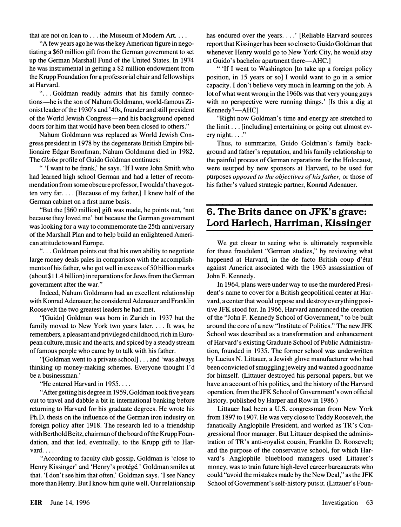that are not on loan to . . . the Museum of Modern Art. . . .

"A few years ago he was the key American figure in negotiating a \$60 million gift from the German government to set up the German Marshall Fund of the United States. In 1974 he was instrumental in getting a \$2 million endowment from the Krupp Foundation for a professorial chair and fellowships at Harvard.

"... Goldman readily admits that his family connections-he is the son of Nahum Goldmann, world-famous Zionist leader of the 1930' s and ' 40s, founder and still president of the World Jewish Congress-and his background opened doors for him that would have been been closed to others."

Nahum Goldmann was replaced as World Jewish Congress president in 1978 by the degenerate British Empire billionaire Edgar Bronfman; Nahum Goldmann died in 1982. The Globe profile of Guido Goldman continues:

" 'I want to be frank,' he says. 'If I were John Smith who had learned high school German and had a letter of recommendation from some obscure professor, I wouldn't have gotten very far.... [Because of my father,] I knew half of the German cabinet on a first name basis.

"But the [\$60 million] gift was made, he points out, 'not because they loved me' but because the German government was looking for a way to commemorate the 25th anniversary of the Marshall Plan and to help build an enlightened American attitude toward Europe.

"... Goldman points out that his own ability to negotiate large money deals pales in comparison with the accomplishments of his father, who got well in excess of 50 billion marks (about \$11.4 billion) in reparations for Jews from the German government after the war."

Indeed, Nahum Goldmann had an excellent relationship with Konrad Adenauer; he considered Adenauer and Franklin Roosevelt the two greatest leaders he had met.

"[Guido] Goldman was born in Zurich in 1937 but the family moved to New York two years later.  $\dots$  It was, he remembers, a pleasant and privileged childhood, rich in European culture, music and the arts, and spiced by a steady stream of famous people who came by to talk with his father.

"[Goldman went to a private school] ... and 'was always thinking up money-making schemes. Everyone thought I'd be a businessman.'

"He entered Harvard in 1955....

"After getting his degree in 1959, Goldman took five years out to travel and dabble a bit in international banking before returning to Harvard for his graduate degrees. He wrote his Ph.D. thesis on the influence of the German iron industry on foreign policy after 1918. The research led to a friendship with Berthold Beitz, chairman of the board of the Krupp Foundation, and that led, eventually, to the Krupp gift to Har- $\text{vard.}\ldots$ 

"According to faculty club gossip, Goldman is 'close to Henry Kissinger' and 'Henry's protégé.' Goldman smiles at that. 'I don't see him that often,' Goldman says. 'I see Nancy more than Henry. But I know him quite well. Our relationship has endured over the years. . . . ' [Reliable Harvard sources report that Kissinger has been so close to Guido Goldman that whenever Henry would go to New York City, he would stay at Guido's bachelor apartment there—AHC.]

" 'If I went to Washington [to take up a foreign policy position, in 15 years or so] I would want to go in a senior capacity. I don't believe very much in learning on the job. A lot of what went wrong in the 1960s was that very young guys with no perspective were running things.' [Is this a dig at  $Kennedy?—AHC]$ 

"Right now Goldman's time and energy are stretched to the limit ... [including] entertaining or going out almost every night.  $\ldots$ "

Thus, to summarize, Guido Goldman's family background and father's reputation, and his family relationship to the painful process of German reparations for the Holocaust, were usurped by new sponsors at Harvard, to be used for purposes opposed to the objectives of his father, or those of his father's valued strategic partner, Konrad Adenauer.

# 6. The Brits dance on JFK's grave: Lord Harlech, Harriman, Kissinger

We get closer to seeing who is ultimately responsible for these fraudulent "German studies," by reviewing what happened at Harvard, in the de facto British coup d'état against America associated with the 1963 assassination of John F. Kennedy.

In 1964, plans were under way to use the murdered President's name to cover for a British geopolitical center at Harvard, a center that would oppose and destroy everything positive JFK stood for. In 1966, Harvard announced the creation of the "John F. Kennedy School of Government, " to be built around the core of a new "Institute of Politics." The new JFK School was described as a transformation and enhancement of Harvard's existing Graduate School of Public Administration, founded in 1935. The former school was underwritten by Lucius N. Littauer, a Jewish glove manufacturer who had been convicted of smuggling jewelry and wanted a good name for himself. (Littauer destroyed his personal papers, but we have an account of his politics, and the history of the Harvard operation, from the JFK School of Government's own official history, published by Harper and Row in 1986.)

Littauer had been a U.S. congressman from New York from 1897 to 1907. He was very close to Teddy Roosevelt, the fanatically Anglophile President, and worked as TR's Congressional floor manager. But Littauer despised the administration of TR's anti-royalist cousin, Franklin D. Roosevelt; and the purpose of the conservative school, for which Harvard's Anglophile blueblood managers used Littauer's money, was to train future high-level career bureaucrats who could "avoid the mistakes made by the New Deal, " as the JFK School of Government's self-history puts it. (Littauer's Foun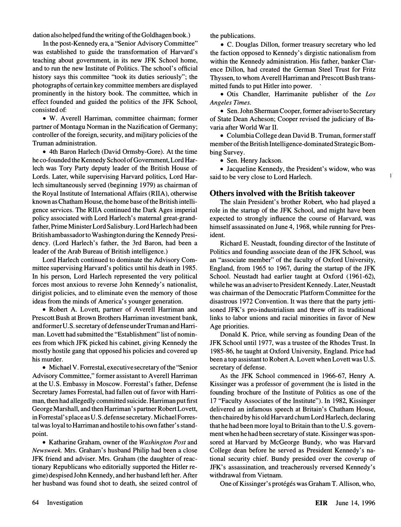dation also helped fund the writing of the Goldhagen book.)

In the post-Kennedy era, a "Senior Advisory Committee " was established to guide the transformation of Harvard's teaching about government, in its new JFK School home, and to run the new Institute of Politics. The school's official history says this committee "took its duties seriously"; the photographs of certain key committee members are displayed prominently in the history book. The committee, which in effect founded and guided the politics of the JFK School, consisted of:

• W. Averell Harriman, committee chairman; former partner of Montagu Norman in the Nazification of Germany; controller of the foreign, security, and military policies of the Truman administration.

• 4th Baron Harlech (David Ormsby-Gore). At the time he co-founded the Kennedy School of Government, Lord Harlech was Tory Party deputy leader of the British House of Lords. Later, while supervising Harvard politics, Lord Harlech simultaneously served (beginning 1979) as chairman of the Royal Institute of International Affairs (RIIA), otherwise known as Chatham House, the home base of the British intelligence services. The RIIA continued the Dark Ages imperial policy associated with Lord Harlech's maternal great-grandfather, Prime Minister Lord Salisbury. Lord Harlech had been British ambassador to Washington during the Kennedy Presidency. (Lord Harlech's father, the 3rd Baron, had been a leader of the Arab Bureau of British intelligence.)

Lord Harlech continued to dominate the Advisory Committee supervising Harvard's politics until his death in 1985. In his person, Lord Harlech represented the very political forces most anxious to reverse John Kennedy's nationalist, dirigist policies, and to eliminate even the memory of those ideas from the minds of America's younger generation.

• Robert A. Lovett, partner of Averell Harriman and Prescott Bush at Brown Brothers Harriman investment bank, and former U.S. secretary of defense under Truman and Harriman. Lovett had submitted the "Establishment" list of nominees from which JFK picked his cabinet, giving Kennedy the mostly hostile gang that opposed his policies and covered up his murder.

• Michael V. Forrestal, executive secretary of the "Senior Advisory Committee," former assistant to Averell Harriman at the U.S. Embassy in Moscow. Forrestal's father, Defense Secretary James Forrestal, had fallen out of favor with Harriman, then had allegedly committed suicide. Harriman put first George Marshall, and then Harriman's partner Robert Lovett, in Forrestal' s place as U.S. defense secretary. Michael Forrestal was loyal to Harriman and hostile to his own father's standpoint.

• Katharine Graham, owner of the Washington Post and Newsweek. Mrs. Graham's husband Philip had been a close JFK friend and adviser. Mrs. Graham (the daughter of reactionary Republicans who editorially supported the Hitler regime) despised John Kennedy, and her husband left her. After her husband was found shot to death, she seized control of the publications.

• C. Douglas Dillon, former treasury secretary who led the faction opposed to Kennedy's dirgistic nationalism from within the Kennedy administration. His father, banker Clarence Dillon, had created the German Steel Trust for Fritz Thyssen, to whom Averell Harriman and Prescott Bush transmitted funds to put Hitler into power.

• Otis Chandler, Harrimanite publisher of the Los Angeles Times.

• Sen. John Sherman Cooper, former adviser to Secretary of State Dean Acheson; Cooper revised the judiciary of Bavaria after World War II.

• Columbia College dean David B. Truman, former staff member of the British Intelligence-dominated Strategic Bombing Survey.

• Sen. Henry Jackson.

• Jacqueline Kennedy, the President's widow, who was said to be very close to Lord Harlech.

 $\mathbf{I}$ 

#### Others involved with the British takeover

The slain President's brother Robert, who had played a role in the startup of the JFK School, and might have been expected to strongly influence the course of Harvard, was himself assassinated on June 4, 1968, while running for President.

Richard E. Neustadt, founding director of the Institute of Politics and founding associate dean of the JFK School, was an "associate member" of the faculty of Oxford University, England, from 1965 to 1967, during the startup of the JFK School. Neustadt had earlier taught at Oxford (1961-62), while he was an adviser to President Kennedy. Later, Neustadt was chairman of the Democratic Platform Committee for the disastrous 1972 Convention. It was there that the party jettisoned JFK's pro-industrialism and threw off its traditional links to labor unions and racial minorities in favor of New Age priorities.

Donald K. Price, while serving as founding Dean of the JFK School until 1977, was a trustee of the Rhodes Trust. In 1985-86, he taught at Oxford University, England. Price had been a top assistant to Robert A. Lovett when Lovett was U.S. secretary of defense.

As the JFK School commenced in 1966-67, Henry A. Kissinger was a professor of government (he is listed in the founding brochure of the Institute of Politics as one of the 17 "Faculty Associates of the Institute"). In 1982, Kissinger delivered an infamous speech at Britain's Chatham House, then chaired by his old Harvard chum Lord Harlech, declaring that he had been more loyal to Britain than to the U.S. government when he had been secretary of state. Kissinger was sponsored at Harvard by McGeorge Bundy, who was Harvard College dean before he served as President Kennedy's national security chief. Bundy presided over the coverup of JFK's assassination, and treacherously reversed Kennedy's withdrawal from Vietnam.

One of Kissinger's protégés was Graham T. Allison, who,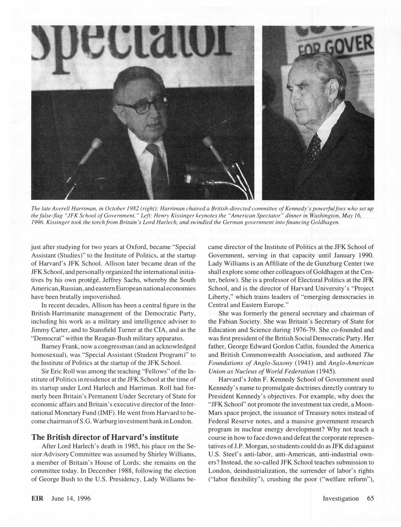

The late Averell Harriman, in October 1982 (right); Harriman chaired a British-directed committee of Kennedy's powerful foes who set up the false-flag "JFK School of Government. " Left: Henry Kissinger keynotes the "American Spectator" dinner in Washington, May 16, 1996. Kissinger took the torch from Britain's Lord Harlech, and swindled the German government into financing Goldhagen.

just after studying for two years at Oxford, became "Special Assistant (Studies)" to the Institute of Politics, at the startup of Harvard's JFK School. Allison later became dean of the JFK School, and personally organized the international initiatives by his own protégé, Jeffrey Sachs, whereby the South American, Russian, and eastern European national economies have been brutally impoverished.

In recent decades, Allison has been a central figure in the British-Harrimanite management of the Democratic Party, including his work as a military and intelligence adviser to Jimmy Carter, and to Stansfield Turner at the CIA, and as the "Democrat" within the Reagan-Bush military apparatus.

Barney Frank, now a congressman (and an acknowledged homosexual), was "Special Assistant (Student Program)" to the Institute of Politics at the startup of the JFK School.

Sir Eric Roll was among the teaching "Fellows" of the Institute of Politics in residence at the JFK School at the time of its startup under Lord Harlech and Harriman. Roll had formerly been Britain's Permanent Under Secretary of State for economic affairs and Britain's executive director of the International Monetary Fund (IMF). He went from Harvard to become chairman of S.G. Warburg investment bank in London.

#### The British director of Harvard's institute

After Lord Harlech's death in 1985, his place on the Senior Advisory Committee was assumed by Shirley Williams, a member of Britain's House of Lords; she remains on the committee today. In December 1988, following the election of George Bush to the U.S. Presidency, Lady Williams be-

came director of the Institute of Politics at the JFK School of Government, serving in that capacity until January 1990. Lady Williams is an Affiliate of the de Gunzburg Center (we shall explore some other colleagues of Goldhagen at the Center, below). She is a professor of Electoral Politics at the JFK School, and is the director of Harvard University's "Project Liberty," which trains leaders of "emerging democracies in Central and Eastern Europe."

She was formerly the general secretary and chairman of the Fabian Society. She was Britain's Secretary of State for Education and Science during 1976-79. She co-founded and was first president of the British Social Democratic Party. Her father, George Edward Gordon Catlin, founded the America and British Commonwealth Association, and authored The Foundations of Anglo-Saxony (1941) and Anglo-American Union as Nucleus of World Federation (1945).

Harvard's John F. Kennedy School of Government used Kennedy's name to promulgate doctrines directly contrary to President Kennedy's objectives. For example, why does the "JFK School" not promote the investment tax credit, a Moon-Mars space project, the issuance of Treasury notes instead of Federal Reserve notes, and a massive government research program in nuclear energy development? Why not teach a course in how to face down and defeat the corporate representatives of J.P. Morgan, so students could do as JFK did against U.S. Steel's anti-labor, anti-American, anti-industrial owners? Instead, the so-called JFK School teaches submission to London, deindustrialization, the surrender of labor's rights ("labor flexibility"), crushing the poor ("welfare reform"),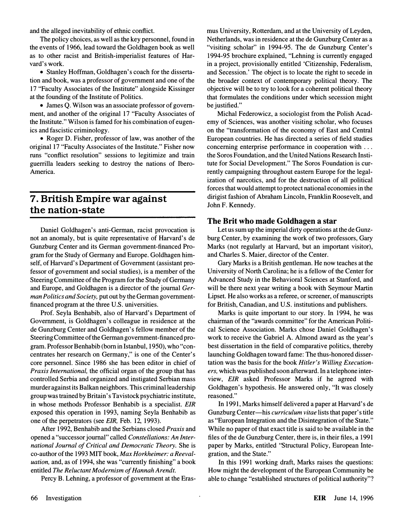and the alleged inevitability of ethnic conflict.

The policy choices, as well as the key personnel, found in the events of 1966, lead toward the Goldhagen book as well as to other racist and British-imperialist features of Harvard's work.

• Stanley Hoffman, Goldhagen's coach for the dissertation and book, was a professor of government and one of the 17 "Faculty Associates of the Institute" alongside Kissinger at the founding of the Institute of Politics.

• James Q. Wilson was an associate professor of government, and another of the original 17 "Faculty Associates of the Institute." Wilson is famed for his combination of eugenics and fascistic criminology.

• Roger D. Fisher, professor of law, was another of the original 17 "Faculty Associates of the Institute." Fisher now runs "conflict resolution" sessions to legitimize and train guerrilla leaders seeking to destroy the nations of Ibero-America.

## 7. British Empire war against the nation-state

Daniel Goldhagen's anti-German, racist provocation is not an anomaly, but is quite representative of Harvard's de Gunzburg Center and its German government-financed Program for the Study of Germany and Europe. Goldhagen himself, of Harvard's Department of Government (assistant professor of government and social studies), is a member of the Steering Committee of the Program for the Study of Germany and Europe, and Goldhagen is a director of the journal German Politics and Society, put out by the German governmentfinanced program at the three U.S. universities.

Prof. Seyla Benhabib, also of Harvard's Department of Government, is Goldhagen's colleague in residence at the de Gunzburg Center and Goldhagen's fellow member of the Steering Committee of the German government-financed program. Professor Benhabib (born in Istanbul, 1950), who "concentrates her research on Germany," is one of the Center's core personnel. Since 1986 she has been editor in chief of Praxis International, the official organ of the group that has controlled Serbia and organized and instigated Serbian mass murder against its Balkan neighbors. This criminal leadership group was trained by Britain's Tavistock psychiatric institute, in whose methods Professor Benhabib is a specialist. EIR exposed this operation in 1993, naming Seyla Benhabib as one of the perpetrators (see EIR, Feb. 12, 1993).

After 1992, Benhabib and the Serbians closed Praxis and opened a "successor journal" called Constellations: An International Journal of Critical and Democratic Theory. She is co-author of the 1993 MIT book, Max Horkheimer: a Reevaluation, and, as of 1994, she was "currently finishing" a book entitled The Reluctant Modernism of Hannah Arendt.

Percy B. Lehning, a professor of government at the Eras-

mus University, Rotterdam, and at the University of Leyden, Netherlands, was in residence at the de Gunzburg Center as a "visiting scholar" in 1994-95. The de Gunzburg Center's 1994-95 brochure explained, "Lehning is currently engaged in a project, provisionally entitled 'Citizenship, Federalism, and Secession.' The object is to locate the right to secede in the broader context of contemporary political theory. The objective will be to try to look for a coherent political theory that formulates the conditions under which secession might be justified."

Michal Federowicz, a sociologist from the Polish Academy of Sciences, was another visiting scholar, who focuses on the "transformation of the economy of East and Central European countries. He has directed a series of field studies concerning enterprise performance in cooperation with ... the Soros Foundation, and the United Nations Research Institute for Social Development." The Soros Foundation is currently campaigning throughout eastern Europe for the legalization of narcotics, and for the destruction of all political forces that would attempt to protect national economies in the dirigist fashion of Abraham Lincoln, Franklin Roosevelt, and John F. Kennedy.

#### The Brit who made Goldhagen a star

Let us sum up the imperial dirty operations at the de Gunzburg Center, by examining the work of two professors, Gary Marks (not regularly at Harvard, but an important visitor), and Charles S. Maier, director of the Center.

Gary Marks is a British gentleman. He now teaches at the University of North Carolina; he is a fellow of the Center for Advanced Study in the Behavioral Sciences at Stanford, and will be there next year writing a book with Seymour Martin Lipset. He also works as a referee, or screener, of manuscripts for British, Canadian, and U.S. institutions and publishers.

Marks is quite important to our story. In 1994, he was chairman of the "awards committee" for the American Political Science Association. Marks chose Daniel Goldhagen's work to receive the Gabriel A. Almond award as the year's best dissertation in the field of comparative politics, thereby launching Goldhagen toward fame: The thus-honored dissertation was the basis for the book Hitler's Willing Executioners, which was published soon afterward. In a telephone interview, EIR asked Professor Marks if he agreed with Goldhagen's hypothesis. He answered only, "It was closely reasoned."

In 1991, Marks himself delivered a paper at Harvard's de Gunzburg Center—his *curriculum vitae* lists that paper's title as "European Integration and the Disintegration of the State." While no paper of that exact title is said to be available in the files of the de Gunzburg Center, there is, in their files, a 1991 paper by Marks, entitled "Structural Policy, European Integration, and the State."

In this 1991 working draft, Marks raises the questions: How might the development of the European Community be able to change "established structures of political authority "?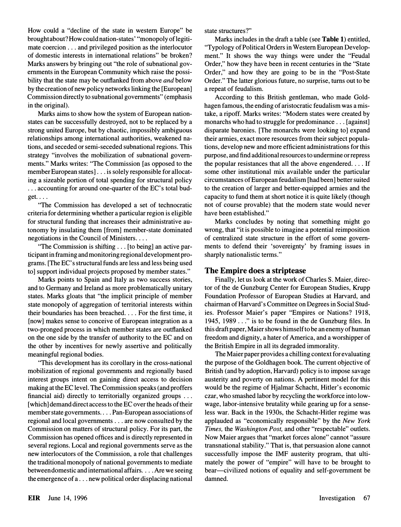How could a "decline of the state in western Europe" be brought about? How could nation-states' "monopoly of legitimate coercion ... and privileged position as the interlocutor of domestic interests in international relations" be broken? Marks answers by bringing out "the role of subnational governments in the European Community which raise the possibility that the state may be outflanked from above and below by the creation of new policy networks linking the [European] Commission directly to subnational governments" (emphasis in the original).

Marks aims to show how the system of European nationstates can be successfully destroyed, not to be replaced by a strong united Europe, but by chaotic, impossibly ambiguous relationships among international authorities, weakened nations, and seceded or semi-seceded subnational regions. This strategy "involves the mobilization of subnational governments." Marks writes: "The Commission [as opposed to the member European states] ... is solely responsible for allocating a sizeable portion of total spending for structural policy ... accounting for around one-quarter of the EC's total bud $get. \ldots$ 

"The Commission has developed a set of technocratic criteria for determining whether a particular region is eligible for structural funding that increases their administrative autonomy by insulating them [from] member-state dominated negotiations in the Council of Ministers....

"The Commission is shifting ... [to being] an active participant in framing and monitoring regional development programs. [The EC' s structural funds are less and less being used to] support individual projects proposed by member states."

Marks points to Spain and Italy as two success stories, and to Germany and Ireland as more problematically unitary states. Marks gloats that "the implicit principle of member state monopoly of aggregation of territorial interests within their boundaries has been breached.... For the first time, it [now] makes sense to conceive of European integration as a two-pronged process in which member states are outflanked on the one side by the transfer of authority to the EC and on the other by incentives for newly assertive and politically meaningful regional bodies.

"This development has its corollary in the cross-national mobilization of regional governments and regionally based interest groups intent on gaining direct access to decision making at the EC level. The Commission speaks (and proffers financial aid) directly to territorially organized groups ... [which] demand direct access to the EC over the heads of their member state governments .... Pan-European associations of regional and local governments ... are now consulted by the Commission on matters of structural policy. For its part, the Commission has opened offices and is directly represented in several regions. Local and regional governments serve as the new interlocutors of the Commission, a role that challenges the traditional monopoly of national governments to mediate between domestic and international affairs .... Are we seeing the emergence of a ... new political order displacing national

state structures? "

Marks includes in the draft a table (see Table 1) entitled, "Typology of Political Orders in Western European Development." It shows the way things were under the "Feudal Order," how they have been in recent centuries in the "State Order," and how they are going to be in the "Post-State Order." The latter glorious future, no surprise, turns out to be a repeat of feudalism.

According to this British gentleman, who made Goldhagen famous, the ending of aristocratic feudalism was a mistake, a ripoff. Marks writes: "Modem states were created by monarchs who had to struggle for predominance ... [against] disparate baronies. [The monarchs were looking to] expand their armies, exact more resources from their subject populations, develop new and more efficient administrations for this purpose, and find additional resources to undermine or repress the popular resistances that all the above engendered.... If some other institutional mix available under the particular circumstances of European feudalism [had been] better suited to the creation of larger and better-equipped armies and the capacity to fund them at short notice it is quite likely (though not of course provable) that the modem state would never have been established."

Marks concludes by noting that something might go wrong, that "it is possible to imagine a potential reimposition of centralized state structure in the effort of some governments to defend their 'sovereignty' by framing issues in sharply nationalistic terms."

#### The Empire does a striptease

Finally, let us look at the work of Charles S. Maier, director of the de Gunzburg Center for European Studies, Krupp Foundation Professor of European Studies at Harvard, and chairman of Harvard's Committee on Degrees in Social Studies. Professor Maier's paper "Empires or Nations? 1918, 1945, 1989 ... " is to be found in the de Gunzburg files. In this draft paper, Maier shows himself to be an enemy of human freedom and dignity, a hater of America, and a worshipper of the British Empire in all its degraded immorality.

The Maier paper provides a chilling context for evaluating the purpose of the Goldhagen book. The current objective of British (and by adoption, Harvard) policy is to impose savage austerity and poverty on nations. A pertinent model for this would be the regime of Hjalmar Schacht, Hitler's economic czar, who smashed labor by recycling the workforce into lowwage, labor-intensive brutality while gearing up for a senseless war. Back in the 1930s, the Schacht-Hitler regime was applauded as "economically responsible" by the New York Times, the Washington Post, and other "respectable" outlets. Now Maier argues that "market forces alone" cannot "assure transnational stability." That is, that persuasion alone cannot successfully impose the IMF austerity program, that ultimately the power of "empire" will have to be brought to bear—civilized notions of equality and self-government be damned.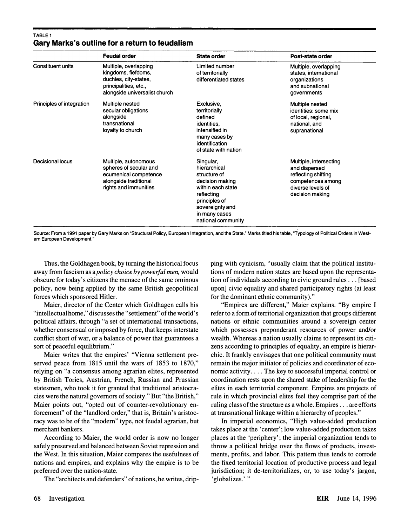#### TABLE 1 Gary Marks's outline for a return to feudalism

|                           | <b>Feudal order</b>                                                                                                             | <b>State order</b>                                                                                                                                                         | Post-state order                                                                                                            |
|---------------------------|---------------------------------------------------------------------------------------------------------------------------------|----------------------------------------------------------------------------------------------------------------------------------------------------------------------------|-----------------------------------------------------------------------------------------------------------------------------|
| <b>Constituent units</b>  | Multiple, overlapping<br>kingdoms, fiefdoms,<br>duchies, city-states,<br>principalities, etc.,<br>alongside universalist church | Limited number<br>of territorially<br>differentiated states                                                                                                                | Multiple, overlapping<br>states, international<br>organizations<br>and subnational<br>governments                           |
| Principles of integration | Multiple nested<br>secular obligations<br>alongside<br>transnational<br>loyalty to church                                       | Exclusive,<br>territorially<br>defined<br>identities,<br>intensified in<br>many cases by<br>identification<br>of state with nation                                         | Multiple nested<br>identities: some mix<br>of local, regional,<br>national, and<br>supranational                            |
| Decisional locus          | Multiple, autonomous<br>spheres of secular and<br>ecumenical competence<br>alongside traditional<br>rights and immunities       | Singular,<br>hierarchical<br>structure of<br>decision making<br>within each state<br>reflecting<br>principles of<br>sovereignty and<br>in many cases<br>national community | Multiple, intersecting<br>and dispersed<br>reflecting shifting<br>competences among<br>diverse levels of<br>decision making |

Source: From a 1991 paper by Gary Marks on "Structural Policy, European Integration, and the State." Marks titled his table, "Typology of Political Orders in Western European Development.

Thus, the Goldhagen book, by turning the historical focus away from fascism as a policy choice by powerful men, would obscure for today' s citizens the menace of the same ominous policy, now being applied by the same British geopolitical forces which sponsored Hitler.

Maier, director of the Center which Goldhagen calls his "intellectual home," discusses the "settlement" of the world's political affairs, through "a set of international transactions, whether consensual or imposed by force, that keeps interstate conflict short of war, or a balance of power that guarantees a sort of peaceful equilibrium."

Maier writes that the empires' "Vienna settlement preserved peace from 1815 until the wars of 1853 to 1870," relying on "a consensus among agrarian elites, represented by British Tories, Austrian, French, Russian and Prussian statesmen, who took it for granted that traditional aristocracies were the natural governors of society." But "the British," Maier points out, "opted out of counter-revolutionary enforcement" of the "landlord order," that is, Britain's aristocracy was to be of the "modern" type, not feudal agrarian, but merchant bankers.

According to Maier, the world order is now no longer safely preserved and balanced between Soviet repression and the West. In this situation, Maier compares the usefulness of nations and empires, and explains why the empire is to be preferred over the nation-state.

The "architects and defenders" of nations, he writes, drip-

ping with cynicism, ''usually claim that the political institutions of modem nation states are based upon the representation of individuals according to civic ground rules ... [based upon] civic equality and shared participatory rights (at least for the dominant ethnic community)."

"Empires are different," Maier explains. "By empire I refer to a form of territorial organization that groups different nations or ethnic communities around a sovereign center which possesses preponderant resources of power and/or wealth. Whereas a nation usually claims to represent its citizens according to principles of equality, an empire is hierarchic. It frankly envisages that one political community must remain the major initiator of policies and coordinator of economic activity.... The key to successful imperial control or coordination rests upon the shared stake of leadership for the elites in each territorial component. Empires are projects of rule in which provincial elites feel they comprise part of the ruling class of the structure as a whole. Empires ... are efforts at transnational linkage within a hierarchy of peoples."

In imperial economics, "High value-added production takes place at the 'center'; low value-added production takes places at the 'periphery'; the imperial organization tends to throw a political bridge over the flows of products, investments, profits, and labor. This pattern thus tends to corrode the fixed territorial location of productive process and legal jurisdiction; it de-territorializes, or, to use today's jargon, 'globalizes.' "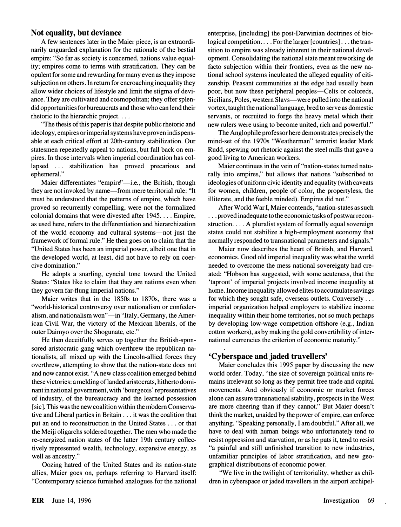#### Not equality, but deviance

A few sentences later in the Maier piece, is an extraordinarily unguarded explanation for the rationale of the bestial empire: "So far as society is concerned, nations value equality; empires come to terms with stratification. They can be opulent for some and rewarding for many even as they impose subjection on others. In return for encroaching inequality they allow wider choices of lifestyle and limit the stigma of deviance. They are cultivated and cosmopolitan; they offer splendid opportunities for bureaucrats and those who can lend their rhetoric to the hierarchic project. ...

"The thesis of this paper is that despite public rhetoric and ideology, empires or imperial systems have proven indispensable at each critical effort at 20th-century stabilization. Our statesmen repeatedly appeal to nations, but fall back on empires. In those intervals when imperial coordination has collapsed ... stabilization has proved precarious and ephemeral."

Maier differentiates "empire"-i.e., the British, though they are not invoked by name-from mere territorial rule: "It must be understood that the patterns of empire, which have proved so recurrently compelling, were not the formalized colonial domains that were divested after 1945 .... Empire, as used here, refers to the differentiation and hierarchization of the world economy and cultural systems-not just the framework of formal rule." He then goes on to claim that the "United States has been an imperial power, albeit one that in the developed world, at least, did not have to rely on coercive domination."

He adopts a snarling, cyncial tone toward the United States: "States like to claim that they are nations even when they govern far-flung imperial nations."

Maier writes that in the 1850s to 1870s, there was a "world-historical controversy over nationalism or confederalism, and nationalism won"—in "Italy, Germany, the American Civil War, the victory of the Mexican liberals, of the outer Daimyo over the Shogunate, etc."

He then deceitfully serves up together the British-sponsored aristocratic gang which overthrew the republican nationalists, all mixed up with the Lincoln-allied forces they overthrew, attempting to show that the nation-state does not and now cannot exist. "A new class coalition emerged behind these victories: a melding oflanded aristocrats, hitherto dominant in national government, with 'bourgeois' representatives of industry, of the bureaucracy and the learned possession [sic]. This was the new coalition within the modem Conservative and Liberal parties in Britain ... it was the coalition that put an end to reconstruction in the United States ... or that the Meiji oligarchs soldered together. The men who made the re-energized nation states of the latter 19th century collectively represented wealth, technology, expansive energy, as well as ancestry."

Oozing hatred of the United States and its nation-state allies, Maier goes on, perhaps referring to Harvard itself: "Contemporary science furnished analogues for the national enterprise, [including] the post-Darwinian doctrines of biological competition.... For the larger [countries]... the transition to empire was already inherent in their national development. Consolidating the national state meant reworking de facto subjection within their frontiers, even as the new national school systems inculcated the alleged equality of citizenship. Peasant communities at the edge had usually been poor, but now these peripheral peoples—Celts or coloreds, Sicilians, Poles, western Slavs—were pulled into the national vortex, taught the national language, bred to serve as domestic servants, or recruited to forge the heavy metal which their new rulers were using to become united, rich and powerful."

The Anglophile professor here demonstrates precisely the mind-set of the 1970s "Weatherman" terrorist leader Mark Rudd, spewing out rhetoric against the steel mills that gave a good living to American workers.

Maier continues in the vein of "nation-states turned naturally into empires," but allows that nations "subscribed to ideologies of uniform civic identity and equality (with caveats for women, children, people of color, the propertyless, the illiterate, and the feeble minded). Empires did not."

After World War I, Maier contends, "nation-states as such ... proved inadequate to the economic tasks of postwar reconstruction... A pluralist system of formally equal sovereign states could not stabilize a high-employment economy that normally responded to transnational parameters and signals."

Maier now describes the heart of British, and Harvard, economics. Good old imperial inequality was what the world needed to overcome the mess national sovereignty had created: "Hobson has suggested, with some acuteness, that the 'taproot' of imperial projects involved income inequality at home. Income inequality allowed elites to accumulate savings for which they sought safe, overseas outlets. Conversely ... imperial organization helped employers to stabilize income inequality within their home territories, not so much perhaps by developing low-wage competition offshore (e.g., Indian cotton workers), as by making the gold convertibility of international currencies the criterion of economic maturity."

### ' Cyberspace and jaded travellers'

Maier concludes this 1995 paper by discussing the new world order. Today, "the size of sovereign political units remains irrelevant so long as they permit free trade and capital movements. And obviously if economic or market forces alone can assure transnational stability, prospects in the West are more cheering than if they cannot." But Maier doesn't think the market, unaided by the power of empire, can enforce anything. "Speaking personally, I am doubtful." After all, we have to deal with human beings who unfortunately tend to resist oppression and starvation, or as he puts it, tend to resist "a painful and still unfinished transition to new industries, unfamiliar principles of labor stratification, and new geographical distributions of economic power.

"We live in the twilight of territoriality, whether as children in cyberspace or jaded travellers in the airport archipel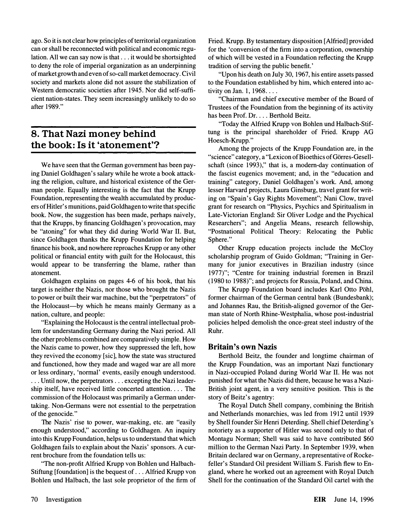ago. So it is not clear how principles of territorial organization can or shall be reconnected with political and economic regulation. All we can say now is that ... it would be shortsighted to deny the role of imperial organization as an underpinning of market growth and even of so-call market democracy. Civil society and markets alone did not assure the stabilization of Western democratic societies after 1945. Nor did self-sufficient nation-states. They seem increasingly unlikely to do so after 1989."

# 8. That Nazi money behind the book: Is it 'atonement'?

We have seen that the German government has been paying Daniel Goldhagen's salary while he wrote a book attacking the religion, culture, and historical existence of the German people. Equally interesting is the fact that the Krupp Foundation, representing the wealth accumulated by producers of Hitler' s munitions, paid Goldhagen to write that specific book. Now, the suggestion has been made, perhaps naively, that the Krupps, by financing Goldhagen's provocation, may be "atoning" for what they did during World War II. But, since Goldhagen thanks the Krupp Foundation for helping finance his book, and nowhere reproaches Krupp or any other political or financial entity with guilt for the Holocaust, this would appear to be transferring the blame, rather than atonement.

Goldhagen explains on pages 4-6 of his book, that his target is neither the Nazis, nor those who brought the Nazis to power or built their war machine, but the "perpetrators" of the Holocaust-by which he means mainly Germany as a nation, culture, and people:

"Explaining the Holocaust is the central intellectual problem for understanding Germany during the Nazi period. All the other problems combined are comparatively simple. How the Nazis came to power, how they suppressed the left, how they revived the economy [sic], how the state was structured and functioned, how they made and waged war are all more or less ordinary, 'normal' events, easily enough understood. ... Until now, the perpetrators ... excepting the Nazi leadership itself, have received little concerted attention .... The commission of the Holocaust was primarily a German undertaking. Non-Germans were not essential to the perpetration of the genocide."

The Nazis' rise to power, war-making, etc. are "easily enough understood," according to Goldhagen. An inquiry into this Krupp Foundation, helps us to understand that which Goldhagen fails to explain about the Nazis' sponsors. A current brochure from the foundation tells us:

"The non-profit Alfried Krupp von Bohlen und Halbach-Stiftung [foundation] is the bequest of ... Alfried Krupp von Bohlen und Halbach, the last sole proprietor of the firm of Fried. Krupp. By testamentary disposition [Alfried] provided for the 'conversion of the firm into a corporation, ownership of which will be vested in a Foundation reflecting the Krupp tradition of serving the public benefit.'

"Upon his death on July 30, 1967, his entire assets passed to the Foundation established by him, which entered into activity on Jan. 1,  $1968...$ .

"Chairman and chief executive member of the Board of Trustees of the Foundation from the beginning of its activity has been Prof. Dr. . . . Berthold Beitz.

"Today the Alfried Krupp von Bohlen und Halbach-Stiftung is the principal shareholder of Fried. Krupp AG Hoesch-Krupp."

Among the projects of the Krupp Foundation are, in the "science" category, a "Lexicon of Bioethics of Görres-Gesellschaft (since 1993)," that is, a modem-day continuation of the fascist eugenics movement; and, in the "education and training" category, Daniel Goldhagen's work. And, among lesser Harvard projects, Laura Ginsburg, travel grant for writing on "Spain's Gay Rights Movement"; Nani Clow, travel grant for research on "Physics, Psychics and Spiritualism in Late-Victorian England: Sir Oliver Lodge and the Psychical Researchers"; and Angelia Means, research fellowship, "Postnational Political Theory: Relocating the Public Sphere."

Other Krupp education projects include the McCloy scholarship program of Guido Goldman; "Training in Germany for junior executives in Brazilian industry (since 1977)"; "Centre for training industrial foremen in Brazil (1980 to 1988)"; and projects for Russia, Poland, and China.

The Krupp Foundation board includes Karl Otto Pohl, former chairman of the German central bank (Bundesbank); and Johannes Rau, the British-aligned governor of the German state of North Rhine-Westphalia, whose post-industrial policies helped demolish the once-great steel industry of the Ruhr.

### Britain's own Nazis

Berthold Beitz, the founder and longtime chairman of the Krupp Foundation, was an important Nazi functionary in Nazi-occupied Poland during World War II. He was not punished for what the Nazis did there, because he was a Nazi-British joint agent, in a very sensitive position. This is the story of Beitz's agentry:

The Royal Dutch Shell company, combining the British and Netherlands monarchies, was led from 1912 until 1939 by Shell founder Sir Henri Deterding. Shell chief Deterding's notoriety as a supporter of Hitler was second only to that of Montagu Norman; Shell was said to have contributed \$60 million to the German Nazi Party. In September 1939, when Britain declared war on Germany, a representative of Rockefeller's Standard Oil president William S. Farish flew to England, where he worked out an agreement with Royal Dutch Shell for the continuation of the Standard Oil cartel with the